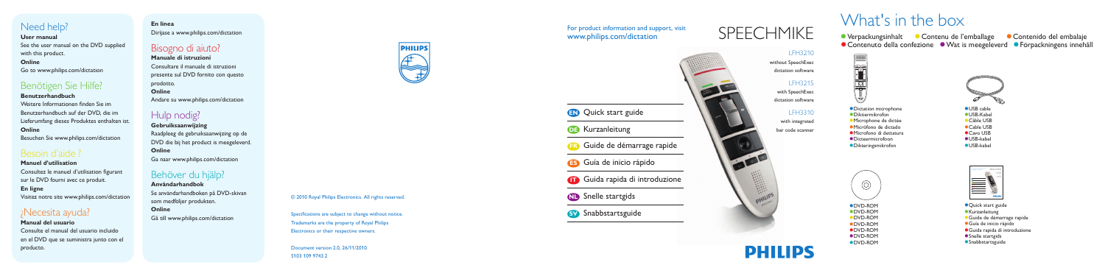#### For product information and support, visit www.philips.com/dictation



without SpeechExec dictation software

### LFH3215

with SpeechExec dictation software

#### LFH3310

with integrated bar code scanner



# SPEECHMIKE

圖



© 2010 Royal Philips Electronics. All rights reserved.

Specifications are subject to change without notice. Trademarks are the property of Royal Philips Electronics or their respective owners.

Document version 2.0, 26/11/2010. 5103 109 9743.2

What's in the box

● Verpackungsinhalt ● Contenu de l'emballage

Dictation microphone

- Diktiermikrofon
- Microphone de dictée
- **Micrófono de dictado**
- Microfono di dettatura
- Dicteermicrofoon

Dikteringsmikrofon



**Contenido del embalaie** 

# Need help?

#### **User manual**

See the user manual on the DVD supplied with this product.

#### **Online**

Go to www.philips.com/dictation

# Benötigen Sie Hilfe?

#### **Benutzerhandbuch**

Weitere Informationen finden Sie im Benutzerhandbuch auf der DVD, die im Lieferumfang dieses Produktes enthalten ist. **Online**

Besuchen Sie www.philips.com/dictation

# Besoin d'aide ?

#### **Manuel d'utilisation** Consultez le manuel d'utilisation figurant sur le DVD fourni avec ce produit. **En ligne** Visitez notre site www.philips.com/dictation

## ¿Necesita ayuda?

**Manual del usuario** Consulte el manual del usuario incluido en el DVD que se suministra junto con el producto.

# **En línea**

Diríjase a www.philips.com/dictation

## Bisogno di aiuto?

**Manuale di istruzioni** Consultare il manuale di istruzioni presente sul DVD fornito con questo prodotto. **Online** Andare su www.philips.com/dictation

# Hulp nodig?

**Gebruiksaanwijzing** Raadpleeg de gebruiksaanwijzing op de DVD die bij het product is meegeleverd. **Online** Ga naar www.philips.com/dictation

# Behöver du hjälp?

**Användarhandbok** Se användarhandboken på DVD-skivan som medföljer produkten.

**Online** Gå till www.philips.com/dictation





- **Quick start guide**
- **Kurzanleitung**
- Guide de démarrage rapide
- Guía de inicio rápido
- Guida rapida di introduzione
- **Snelle startgids**
- **Snabbstartsguide**

# **PHILIPS**

USB cable USB-Kabel

● Contenuto della confezione ● Wat is meegeleverd ● Förpackningens innehåll

- Câble USB
- Cable USB
- Cavo USB
- USB-kabel
- USB-kabel

DVD-ROM DVD-ROM DVD-ROM DVD-ROM DVD-ROM DVD-ROM DVD-ROM

 $\circledcirc$